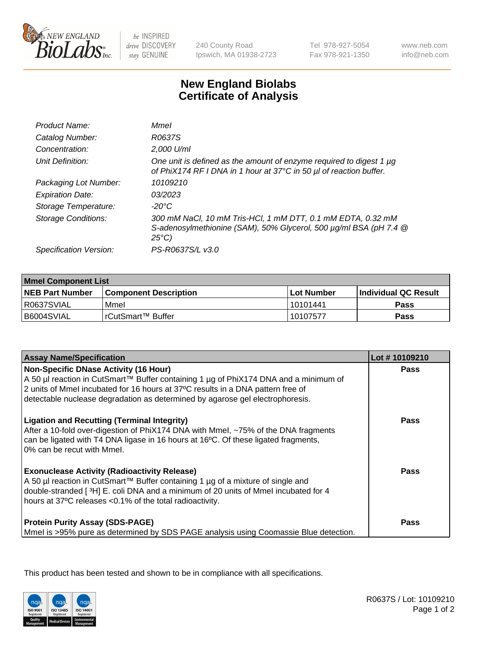

be INSPIRED drive DISCOVERY stay GENUINE

240 County Road Ipswich, MA 01938-2723 Tel 978-927-5054 Fax 978-921-1350

www.neb.com info@neb.com

## **New England Biolabs Certificate of Analysis**

| Product Name:              | Mmel                                                                                                                                                |
|----------------------------|-----------------------------------------------------------------------------------------------------------------------------------------------------|
| Catalog Number:            | R0637S                                                                                                                                              |
| Concentration:             | 2,000 U/ml                                                                                                                                          |
| Unit Definition:           | One unit is defined as the amount of enzyme required to digest 1 µg<br>of PhiX174 RF I DNA in 1 hour at 37°C in 50 µl of reaction buffer.           |
| Packaging Lot Number:      | 10109210                                                                                                                                            |
| <b>Expiration Date:</b>    | 03/2023                                                                                                                                             |
| Storage Temperature:       | -20°C                                                                                                                                               |
| <b>Storage Conditions:</b> | 300 mM NaCl, 10 mM Tris-HCl, 1 mM DTT, 0.1 mM EDTA, 0.32 mM<br>S-adenosylmethionine (SAM), 50% Glycerol, 500 µg/ml BSA (pH 7.4 @<br>$25^{\circ}C$ ) |
| Specification Version:     | PS-R0637S/L v3.0                                                                                                                                    |

| <b>Mmel Component List</b> |                              |                   |                       |  |
|----------------------------|------------------------------|-------------------|-----------------------|--|
| <b>NEB Part Number</b>     | <b>Component Description</b> | <b>Lot Number</b> | ∣Individual QC Result |  |
| R0637SVIAL                 | Mmel                         | 10101441          | Pass                  |  |
| B6004SVIAL                 | l rCutSmart™ Buffer          | 10107577          | Pass                  |  |

| <b>Assay Name/Specification</b>                                                                                                                                                                                                                                                          | Lot #10109210 |
|------------------------------------------------------------------------------------------------------------------------------------------------------------------------------------------------------------------------------------------------------------------------------------------|---------------|
| Non-Specific DNase Activity (16 Hour)<br>A 50 µl reaction in CutSmart™ Buffer containing 1 µg of PhiX174 DNA and a minimum of<br>2 units of Mmel incubated for 16 hours at 37°C results in a DNA pattern free of                                                                         | Pass          |
| detectable nuclease degradation as determined by agarose gel electrophoresis.                                                                                                                                                                                                            |               |
| <b>Ligation and Recutting (Terminal Integrity)</b><br>After a 10-fold over-digestion of PhiX174 DNA with Mmel, ~75% of the DNA fragments<br>can be ligated with T4 DNA ligase in 16 hours at 16°C. Of these ligated fragments,<br>0% can be recut with Mmel.                             | Pass          |
| <b>Exonuclease Activity (Radioactivity Release)</b><br>A 50 µl reaction in CutSmart™ Buffer containing 1 µg of a mixture of single and<br>double-stranded [3H] E. coli DNA and a minimum of 20 units of Mmel incubated for 4<br>hours at 37°C releases <0.1% of the total radioactivity. | Pass          |
| <b>Protein Purity Assay (SDS-PAGE)</b><br>Mmel is >95% pure as determined by SDS PAGE analysis using Coomassie Blue detection.                                                                                                                                                           | Pass          |

This product has been tested and shown to be in compliance with all specifications.